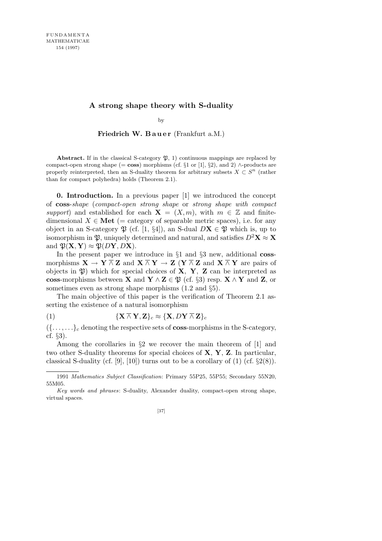## **A strong shape theory with S-duality**

by

Friedrich W. Bauer (Frankfurt a.M.)

**Abstract.** If in the classical S-category  $\mathfrak{P}$ , 1) continuous mappings are replaced by compact-open strong shape (= **coss**) morphisms (cf. *§*1 or [1], *§*2), and 2) *∧*-products are properly reinterpreted, then an S-duality theorem for arbitrary subsets  $X \subset S^n$  (rather than for compact polyhedra) holds (Theorem 2.1).

**0. Introduction.** In a previous paper [1] we introduced the concept of **coss**-*shape* (*compact-open strong shape* or *strong shape with compact support*) and established for each  $X = (X, m)$ , with  $m \in \mathbb{Z}$  and finitedimensional  $X \in \mathbf{Met}$  (= category of separable metric spaces), i.e. for any object in an S-category  $\mathfrak{P}$  (cf. [1, §4]), an S-dual  $D\mathbf{X} \in \mathfrak{P}$  which is, up to isomorphism in  $\mathfrak{B}$ , uniquely determined and natural, and satisfies  $D^2\mathbf{X} \approx \mathbf{X}$ and  $\mathfrak{P}(\mathbf{X}, \mathbf{Y}) \approx \mathfrak{P}(D\mathbf{Y}, D\mathbf{X})$ .

In the present paper we introduce in *§*1 and *§*3 new, additional **coss**morphisms  $X \to Y \overline{\wedge} Z$  and  $X \overline{\wedge} Y \to Z (Y \overline{\wedge} Z$  and  $X \overline{\wedge} Y$  are pairs of objects in P) which for special choices of **X***,* **Y***,* **Z** can be interpreted as **coss**-morphisms between **X** and **Y**  $\land$  **Z**  $\in \mathfrak{P}$  (cf. §3) resp. **X**  $\land$  **Y** and **Z**, or sometimes even as strong shape morphisms (1.2 and *§*5).

The main objective of this paper is the verification of Theorem 2.1 asserting the existence of a natural isomorphism

(1) 
$$
\{ \mathbf{X} \wedge \mathbf{Y}, \mathbf{Z} \}_c \approx \{ \mathbf{X}, D\mathbf{Y} \wedge \mathbf{Z} \}_c
$$

 $({\ldots}, \ldots)$ *c* denoting the respective sets of **coss**-morphisms in the S-category, cf. *§*3).

Among the corollaries in *§*2 we recover the main theorem of [1] and two other S-duality theorems for special choices of **X**, **Y**, **Z**. In particular, classical S-duality (cf. [9], [10]) turns out to be a corollary of (1) (cf. *§*2(8)).

<sup>1991</sup> *Mathematics Subject Classification*: Primary 55P25, 55P55; Secondary 55N20, 55M05.

*Key words and phrases*: S-duality, Alexander duality, compact-open strong shape, virtual spaces.

<sup>[37]</sup>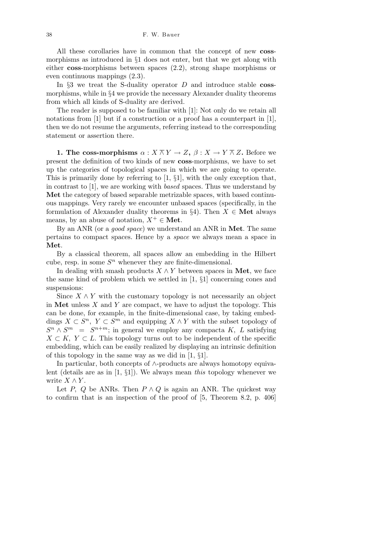All these corollaries have in common that the concept of new **coss**morphisms as introduced in *§*1 does not enter, but that we get along with either **coss**-morphisms between spaces (2.2), strong shape morphisms or even continuous mappings (2.3).

In *§*3 we treat the S-duality operator *D* and introduce stable **coss**morphisms, while in *§*4 we provide the necessary Alexander duality theorems from which all kinds of S-duality are derived.

The reader is supposed to be familiar with [1]: Not only do we retain all notations from [1] but if a construction or a proof has a counterpart in [1], then we do not resume the arguments, referring instead to the corresponding statement or assertion there.

**1. The coss-morphisms**  $\alpha: X \overline{\wedge} Y \rightarrow Z$ ,  $\beta: X \rightarrow Y \overline{\wedge} Z$ . Before we present the definition of two kinds of new **coss**-morphisms, we have to set up the categories of topological spaces in which we are going to operate. This is primarily done by referring to [1, *§*1], with the only exception that, in contrast to [1], we are working with *based* spaces. Thus we understand by **Met** the category of based separable metrizable spaces, with based continuous mappings. Very rarely we encounter unbased spaces (specifically, in the formulation of Alexander duality theorems in  $\S4$ ). Then  $X \in \mathbf{Met}$  always means, by an abuse of notation,  $X^+ \in \mathbf{Met}$ .

By an ANR (or a *good space*) we understand an ANR in **Met**. The same pertains to compact spaces. Hence by a *space* we always mean a space in **Met**.

By a classical theorem, all spaces allow an embedding in the Hilbert cube, resp. in some  $S<sup>n</sup>$  whenever they are finite-dimensional.

In dealing with smash products  $X \wedge Y$  between spaces in **Met**, we face the same kind of problem which we settled in [1, *§*1] concerning cones and suspensions:

Since  $X \wedge Y$  with the customary topology is not necessarily an object in **Met** unless *X* and *Y* are compact, we have to adjust the topology. This can be done, for example, in the finite-dimensional case, by taking embeddings  $X \subset S^n$ ,  $Y \subset S^m$  and equipping  $X \wedge Y$  with the subset topology of  $S^n \wedge S^m = S^{n+m}$ ; in general we employ any compacta *K, L* satisfying  $X \subset K$ ,  $Y \subset L$ . This topology turns out to be independent of the specific embedding, which can be easily realized by displaying an intrinsic definition of this topology in the same way as we did in [1, *§*1].

In particular, both concepts of *∧*-products are always homotopy equivalent (details are as in [1, *§*1]). We always mean *this* topology whenever we write  $X \wedge Y$ .

Let *P*, *Q* be ANRs. Then  $P \wedge Q$  is again an ANR. The quickest way to confirm that is an inspection of the proof of [5, Theorem 8.2, p. 406]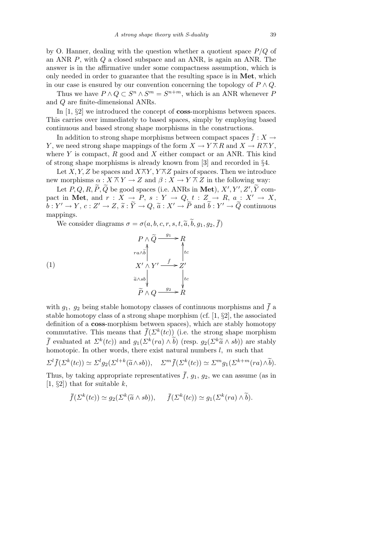by O. Hanner, dealing with the question whether a quotient space *P/Q* of an ANR *P*, with *Q* a closed subspace and an ANR, is again an ANR. The answer is in the affirmative under some compactness assumption, which is only needed in order to guarantee that the resulting space is in **Met**, which in our case is ensured by our convention concerning the topology of  $P \wedge Q$ .

Thus we have  $P \wedge Q \subset S^n \wedge S^m = S^{n+m}$ , which is an ANR whenever *P* and *Q* are finite-dimensional ANRs.

In [1, *§*2] we introduced the concept of **coss**-morphisms between spaces. This carries over immediately to based spaces, simply by employing based continuous and based strong shape morphisms in the constructions.

In addition to strong shape morphisms between compact spaces  $\bar{f}: X \to Y$ *Y*, we need strong shape mappings of the form  $X \to Y \overline{\wedge} R$  and  $X \to R \overline{\wedge} Y$ , where *Y* is compact, *R* good and *X* either compact or an ANR. This kind of strong shape morphisms is already known from [3] and recorded in *§*4.

Let *X*, *Y*, *Z* be spaces and  $X \overline{\wedge} Y$ ,  $Y \overline{\wedge} Z$  pairs of spaces. Then we introduce new morphisms  $\alpha : X \overline{\wedge} Y \rightarrow Z$  and  $\beta : X \rightarrow Y \overline{\wedge} Z$  in the following way:

Let  $P, Q, R, \widetilde{P}, \widetilde{Q}$  be good spaces (i.e. ANRs in Met),  $X', Y', Z', \widetilde{Y}$  compact in Met, and  $r: X \to P$ ,  $s: Y \to Q$ ,  $t: Z \to R$ ,  $a: X' \to X$ ,  $\tilde{b}: Y' \to Y, c: Z' \to Z, \tilde{s}: \tilde{Y} \to Q, \tilde{a}: X' \to \tilde{P} \text{ and } \tilde{b}: Y' \to \tilde{Q} \text{ continuous}$ mappings.

We consider diagrams  $\sigma = \sigma(a, b, c, r, s, t, \tilde{a}, \tilde{b}, q_1, q_2, \bar{f})$ 

(1)  
\n
$$
P \wedge \widetilde{Q} \xrightarrow{g_1} R
$$
\n
$$
ra \wedge \widetilde{b}
$$
\n
$$
X' \wedge Y' \xrightarrow{\bar{f}} Z'
$$
\n
$$
\widetilde{a} \wedge sb
$$
\n
$$
\widetilde{P} \wedge Q \xrightarrow{g_2} R
$$

with  $g_1, g_2$  being stable homotopy classes of continuous morphisms and  $\bar{f}$  a stable homotopy class of a strong shape morphism (cf. [1, *§*2], the associated definition of a **coss**-morphism between spaces), which are stably homotopy commutative. This means that  $\bar{f}(\Sigma^k(tc))$  (i.e. the strong shape morphism *f* evaluated at  $\Sigma^k(tc)$ ) and  $g_1(\Sigma^k(ra) \wedge \tilde{b})$  (resp.  $g_2(\Sigma^k \tilde{a} \wedge s b)$ ) are stably homotopic. In other words, there exist natural numbers *l, m* such that

$$
\Sigma^l \bar{f}(\Sigma^k(tc)) \simeq \Sigma^l g_2(\Sigma^{l+k}(\tilde{a} \wedge s b)), \quad \Sigma^m \bar{f}(\Sigma^k(tc)) \simeq \Sigma^m g_1(\Sigma^{k+m}(ra) \wedge \tilde{b}).
$$

Thus, by taking appropriate representatives  $\bar{f}$ ,  $g_1$ ,  $g_2$ , we can assume (as in [1, *§*2]) that for suitable *k*,

$$
\bar{f}(\Sigma^k(te)) \simeq g_2(\Sigma^k(\tilde{a} \wedge sb)), \qquad \bar{f}(\Sigma^k(te)) \simeq g_1(\Sigma^k(rea) \wedge \tilde{b}).
$$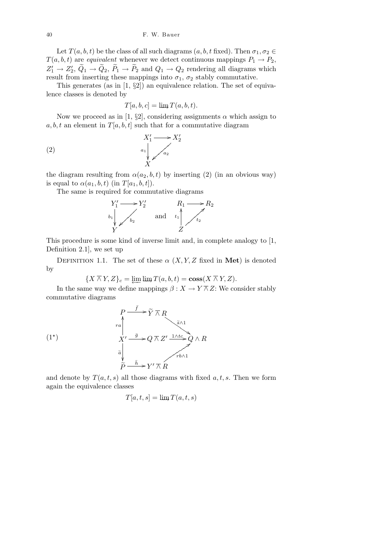Let  $T(a, b, t)$  be the class of all such diagrams  $(a, b, t \text{ fixed})$ . Then  $\sigma_1, \sigma_2 \in$  $T(a, b, t)$  are *equivalent* whenever we detect continuous mappings  $P_1 \rightarrow P_2$ ,  $Z'_1 \to Z'_2$ ,  $\widetilde{Q}_1 \to \widetilde{Q}_2$ ,  $\widetilde{P}_1 \to \widetilde{P}_2$  and  $Q_1 \to Q_2$  rendering all diagrams which result from inserting these mappings into  $\sigma_1$ ,  $\sigma_2$  stably commutative.

This generates (as in [1, *§*2]) an equivalence relation. The set of equivalence classes is denoted by

$$
T[a, b, c] = \lim T(a, b, t).
$$

Now we proceed as in [1,  $\S2$ ], considering assignments  $\alpha$  which assign to  $a, b, t$  an element in  $T[a, b, t]$  such that for a commutative diagram

$$
X_1' \longrightarrow X_2'
$$
\n
$$
a_1 \downarrow a_2
$$
\n
$$
X'
$$

the diagram resulting from  $\alpha(a_2, b, t)$  by inserting (2) (in an obvious way) is equal to  $\alpha(a_1, b, t)$  (in  $T[a_1, b, t]$ ).

The same is required for commutative diagrams



This procedure is some kind of inverse limit and, in complete analogy to [1, Definition 2.1], we set up

DEFINITION 1.1. The set of these  $\alpha$  (*X,Y,Z* fixed in **Met**) is denoted by

$$
\{X \overline{\wedge} Y, Z\}_c = \varprojlim \lim T(a, b, t) = \cos(X \overline{\wedge} Y, Z).
$$

In the same way we define mappings  $\beta: X \to Y \overline{\wedge} Z$ : We consider stably commutative diagrams

$$
(1^*)
$$
\n
$$
P \xrightarrow{r_a} \widetilde{Y} \overline{\wedge} R
$$
\n
$$
X' \xrightarrow{\overline{g}} Q \overline{\wedge} Z' \xrightarrow{1 \wedge tc} Q \wedge R
$$
\n
$$
\overline{a} \downarrow
$$
\n
$$
\overline{P} \xrightarrow{\overline{h}} Y' \overline{\wedge} R
$$

and denote by  $T(a, t, s)$  all those diagrams with fixed  $a, t, s$ . Then we form again the equivalence classes

$$
T[a,t,s] = \lim T(a,t,s)
$$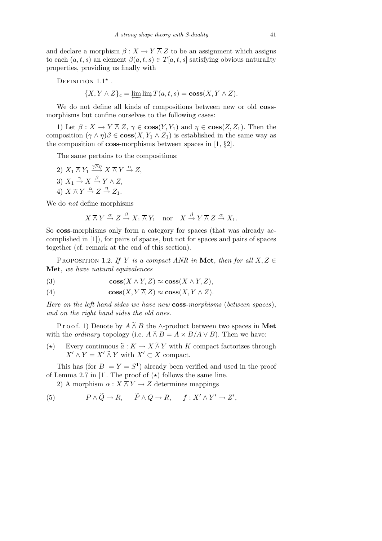and declare a morphism  $\beta: X \to Y \overline{\wedge} Z$  to be an assignment which assigns to each  $(a, t, s)$  an element  $\beta(a, t, s) \in T[a, t, s]$  satisfying obvious naturality properties, providing us finally with

DEFINITION 
$$
1.1^*
$$
 .

$$
\{X, Y \overline{\wedge} Z\}_c = \varprojlim \lim T(a, t, s) = \cos(X, Y \overline{\wedge} Z).
$$

We do not define all kinds of compositions between new or old **coss**morphisms but confine ourselves to the following cases:

1) Let  $\beta: X \to Y \overline{\wedge} Z$ ,  $\gamma \in \text{coss}(Y, Y_1)$  and  $\eta \in \text{coss}(Z, Z_1)$ . Then the composition  $(\gamma \overline{\wedge} \eta)\beta \in \mathbf{cos}(X, Y_1 \overline{\wedge} Z_1)$  is established in the same way as the composition of **coss**-morphisms between spaces in [1, *§*2].

The same pertains to the compositions:

2)  $X_1 \overline{\wedge} Y_1 \xrightarrow{\gamma \overline{\wedge} \eta} X \overline{\wedge} Y \xrightarrow{\alpha} Z$ , 3)  $X_1 \stackrel{\gamma}{\rightarrow} X \stackrel{\beta}{\rightarrow} Y \overline{\wedge} Z$ , 4)  $X \overline{\wedge} Y \stackrel{\alpha}{\rightarrow} Z \stackrel{\eta}{\rightarrow} Z_1$ .

We do *not* define morphisms

$$
X \overline{\wedge} Y \xrightarrow{\alpha} Z \xrightarrow{\beta} X_1 \overline{\wedge} Y_1 \quad \text{nor} \quad X \xrightarrow{\beta} Y \overline{\wedge} Z \xrightarrow{\alpha} X_1.
$$

So **coss**-morphisms only form a category for spaces (that was already accomplished in [1]), for pairs of spaces, but not for spaces and pairs of spaces together (cf. remark at the end of this section).

PROPOSITION 1.2. *If Y is a compact ANR in* **Met**, *then for all*  $X, Z \in$ **Met**, *we have natural equivalences*

(3) 
$$
\cos(X \overline{\wedge} Y, Z) \approx \cos(X \wedge Y, Z),
$$

(4) 
$$
\cos(X, Y \overline{\wedge} Z) \approx \cos(X, Y \wedge Z).
$$

*Here on the left hand sides we have new* **coss***-morphisms* (*between spaces*), *and on the right hand sides the old ones.*

P r o o f. 1) Denote by  $A \wedge B$  the  $\wedge$ -product between two spaces in Met with the *ordinary* topology (i.e.  $A \tilde{\wedge} B = A \times B/A \vee B$ ). Then we have:

(\*) Every continuous  $\tilde{a}: K \to X \tilde{\wedge} Y$  with *K* compact factorizes through  $X' \wedge Y = X' \tilde{\wedge} Y$  with  $X' \subset X$  compact.

This has (for  $B = Y = S^1$ ) already been verified and used in the proof of Lemma 2.7 in [1]. The proof of  $(\star)$  follows the same line.

2) A morphism  $\alpha$  :  $X \overline{\wedge} Y \rightarrow Z$  determines mappings

(5) 
$$
P \wedge \widetilde{Q} \to R
$$
,  $\widetilde{P} \wedge Q \to R$ ,  $\overline{f} : X' \wedge Y' \to Z'$ ,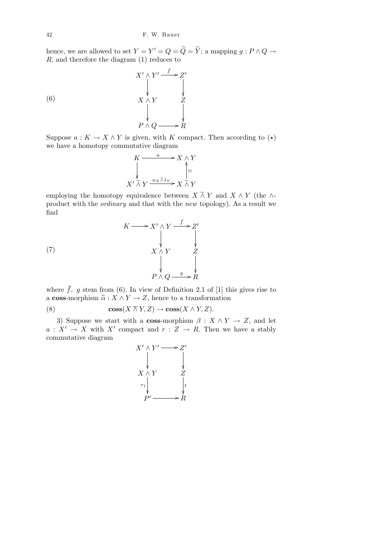hence, we are allowed to set  $Y = Y' = Q = \widetilde{Q} = \widetilde{Y}$ ; a mapping  $g : P \wedge Q \rightarrow$ *R*, and therefore the diagram (1) reduces to

(6)  
\n
$$
X' \wedge Y' \xrightarrow{\bar{f}} Z'
$$
\n
$$
\downarrow \qquad \qquad \downarrow
$$
\n
$$
X \wedge Y \xrightarrow{\bar{f}} Z
$$
\n
$$
\downarrow \qquad \qquad \downarrow
$$
\n
$$
P \wedge Q \xrightarrow{\quad \downarrow} R
$$

Suppose  $a: K \to X \wedge Y$  is given, with *K* compact. Then according to  $(\star)$ we have a homotopy commutative diagram

$$
K \xrightarrow{a} X \wedge Y
$$
  
\n
$$
\downarrow^{X' \tilde{\wedge} Y} \xrightarrow{a_X \tilde{\wedge} 1_Y} X \tilde{\wedge} Y
$$

employing the homotopy equivalence between  $X \wedge Y$  and  $X \wedge Y$  (the  $\wedge$ product with the *ordinary* and that with the *new* topology). As a result we find

(7) 
$$
K \longrightarrow X' \wedge Y \xrightarrow{\bar{f}} Z'
$$
\n
$$
\downarrow \qquad \qquad \downarrow
$$
\n
$$
X \wedge Y \xrightarrow{\bar{f}} Z
$$
\n
$$
\downarrow \qquad \qquad \downarrow
$$
\n
$$
P \wedge Q \xrightarrow{g} R
$$

where  $\bar{f}$ , g stem from (6). In view of Definition 2.1 of [1] this gives rise to a **coss**-morphism  $\hat{\alpha} : X \wedge Y \to Z$ , hence to a transformation

(8) 
$$
\cos(X \overline{\wedge} Y, Z) \rightarrow \cos(X \wedge Y, Z).
$$

3) Suppose we start with a **coss**-morphism  $\beta$  :  $X \wedge Y \rightarrow Z$ , and let  $a: X' \to X$  with X<sup>*i*</sup> compact and  $r: Z \to R$ . Then we have a stably commutative diagram

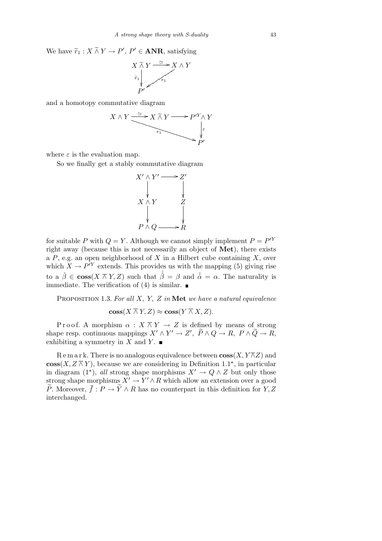We have  $\widetilde{r}_1 : X \widetilde{\wedge} Y \to P', P' \in \mathbf{ANR}$ , satisfying



and a homotopy commutative diagram



where  $\varepsilon$  is the evaluation map.

So we finally get a stably commutative diagram



for suitable *P* with  $Q = Y$ . Although we cannot simply implement  $P = P^Y$ right away (because this is not necessarily an object of **Met**), there exists a *P*, e.g. an open neighborhood of *X* in a Hilbert cube containing *X*, over which  $X \to P^{\prime Y}$  extends. This provides us with the mapping (5) giving rise to a  $\check{\beta} \in \mathbf{cos}(X \overline{\wedge} Y, Z)$  such that  $\hat{\check{\beta}} = \beta$  and  $\check{\hat{\alpha}} = \alpha$ . The naturality is immediate. The verification of (4) is similar.  $\blacksquare$ 

Proposition 1.3. *For all X, Y, Z in* **Met** *we have a natural equivalence*

 $\cos(X \overline{\wedge} Y, Z) \approx \cos(Y \overline{\wedge} X, Z)$ .

Proof. A morphism  $\alpha$  :  $X \bar{\wedge} Y \rightarrow Z$  is defined by means of strong shape resp. continuous mappings  $X' \wedge Y' \to Z'$ ,  $\widetilde{P} \wedge Q \to R$ ,  $P \wedge \widetilde{Q} \to R$ , exhibiting a symmetry in *X* and *Y*.

Remark. There is no analogous equivalence between  $\cos(X, Y \overline{\wedge} Z)$  and **coss**(*X, Z*  $\overline{\wedge}$ *Y*), because we are considering in Definition 1.1<sup>★</sup>, in particular in diagram (1<sup>\*</sup>), *all* strong shape morphisms  $X' \to Q \wedge Z$  but only those strong shape morphisms  $X' \to Y' \wedge R$  which allow an extension over a good  $\widetilde{P}$ . Moreover,  $\overline{f}: P \to \widetilde{Y} \wedge R$  has no counterpart in this definition for *Y*, *Z* interchanged.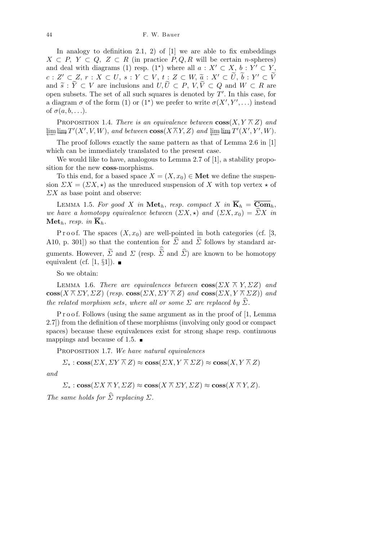In analogy to definition 2.1, 2) of  $[1]$  we are able to fix embeddings *X*  $\subset$  *P*, *Y*  $\subset$  *Q*, *Z*  $\subset$  *R* (in practice *P*, *Q*, *R* will be certain *n*-spheres) and deal with diagrams (1) resp.  $(1^*)$  where all  $a: X' \subset X$ ,  $b: Y' \subset Y$ ,  $c: Z' \subset Z, \, r: X \subset U, \, s: Y \subset V, \, t: Z \subset W, \, \widetilde a: X' \subset \widetilde U, \, \widetilde b: Y' \subset \widetilde V$ and  $\widetilde{s}: \widetilde{Y} \subset V$  are inclusions and  $U, \widetilde{U} \subset P$ ,  $V, \widetilde{V} \subset Q$  and  $W \subset R$  are open subsets. The set of all such squares is denoted by  $T'$ . In this case, for a diagram  $\sigma$  of the form (1) or (1<sup>\*</sup>) we prefer to write  $\sigma(X', Y', \ldots)$  instead of  $\sigma(a, b, \ldots)$ .

**PROPOSITION 1.4.** *There is an equivalence between*  $\cos(X, Y \wedge Z)$  *and*  $\varprojlim \varinjlim T'(X',V,W)$ , and between  $\cos(X \overline{\wedge} Y, Z)$  and  $\varprojlim \varinjlim T'(X', Y', W)$ .

The proof follows exactly the same pattern as that of Lemma 2.6 in [1] which can be immediately translated to the present case.

We would like to have, analogous to Lemma 2.7 of [1], a stability proposition for the new **coss**-morphisms.

To this end, for a based space  $X = (X, x_0) \in \mathbf{Met}$  we define the suspension  $\varSigma X = (\varSigma X, \star)$  as the unreduced suspension of X with top vertex  $\star$  of *ΣX* as base point and observe:

LEMMA 1.5. For good *X* in Met<sub>h</sub>, resp. compact *X* in  $\overline{\mathbf{K}}_h = \overline{\mathbf{Com}}_h$ , *we have a homotopy equivalence between*  $(\Sigma X, \star)$  *and*  $(\Sigma X, x_0) = \Sigma X$  *in*  $\mathbf{Met}_h$ , *resp.* in  $\overline{\mathbf{K}}_h$ .

P r o o f. The spaces  $(X, x_0)$  are well-pointed in both categories (cf. [3, A10, p. 301]) so that the contention for  $\hat{\Sigma}$  and  $\tilde{\Sigma}$  follows by standard arguments. However,  $\widetilde{\Sigma}$  and  $\Sigma$  (resp.  $\widehat{\widetilde{\Sigma}}$  and  $\widehat{\Sigma}$ ) are known to be homotopy equivalent (cf. [1, *§*1]).

So we obtain:

**LEMMA** 1.6. *There are equivalences between*  $\cos(\sum X \overline{\wedge} Y, \Sigma Z)$  *and*  $\cos(X \bar{\wedge} \Sigma Y, \Sigma Z)$  (*resp.*  $\cos(\Sigma X, \Sigma Y \bar{\wedge} Z)$  *and*  $\cos(\Sigma X, Y \bar{\wedge} \Sigma Z)$ ) *and the related morphism sets, where all or some*  $\Sigma$  *are replaced by*  $\widehat{\Sigma}$ *.* 

P r o o f. Follows (using the same argument as in the proof of [1, Lemma 2.7]) from the definition of these morphisms (involving only good or compact spaces) because these equivalences exist for strong shape resp. continuous mappings and because of 1.5.  $\blacksquare$ 

Proposition 1.7. *We have natural equivalences*

 $\Sigma^*$  : **coss**(*ΣX, ΣY*  $\overline{\wedge}$  *Z*)  $\approx$  **coss**(*ΣX, Y*  $\overline{\wedge}$  *ZZ*)  $\approx$  **coss**(*X, Y*  $\overline{\wedge}$  *Z*)

*and*

 $\Sigma_*$ : **coss**( $\Sigma X \overline{\wedge} Y$ ,  $\Sigma Z$ )  $\approx$  **coss**( $X \overline{\wedge} \Sigma Y$ ,  $\Sigma Z$ )  $\approx$  **coss**( $X \overline{\wedge} Y$ ,  $Z$ ).

*The same holds for*  $\widehat{\Sigma}$  *replacing*  $\Sigma$ *.*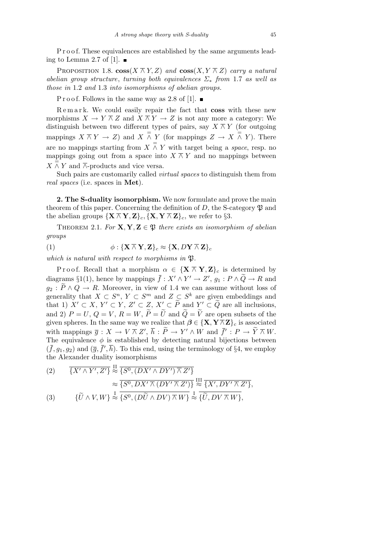P r o o f. These equivalences are established by the same arguments leading to Lemma 2.7 of [1].  $\blacksquare$ 

PROPOSITION 1.8.  $\cos(X \overline{\wedge} Y, Z)$  and  $\cos(X, Y \overline{\wedge} Z)$  carry a natural *abelian group structure*, *turning both equivalences Σ<sup>∗</sup> from* 1.7 *as well as those in* 1.2 *and* 1.3 *into isomorphisms of abelian groups.*

P r o o f. Follows in the same way as 2.8 of [1].  $\blacksquare$ 

R e m a r k. We could easily repair the fact that **coss** with these new morphisms  $X \to Y \overline{\wedge} Z$  and  $X \overline{\wedge} Y \to Z$  is not any more a category: We distinguish between two different types of pairs, say  $X \wedge Y$  (for outgoing mappings  $X \overline{\wedge} Y \rightarrow Z$  and  $X \overline{\wedge} Y$  (for mappings  $Z \rightarrow X \overline{\wedge} Y$ ). There are no mappings starting from  $X \wedge Y$  with target being a *space*, resp. no mappings going out from a space into  $X \overline{\wedge} Y$  and no mappings between  $X \overset{\triangle}{\wedge} Y$  and  $\overset{\triangle}{\wedge}$ -products and vice versa.

Such pairs are customarily called *virtual spaces* to distinguish them from *real spaces* (i.e. spaces in **Met**).

**2. The S-duality isomorphism.** We now formulate and prove the main theorem of this paper. Concerning the definition of  $D$ , the S-category  $\mathfrak P$  and the abelian groups  ${\{\mathbf{X} \wedge \mathbf{Y}, \mathbf{Z}\}_c, {\{\mathbf{X}, \mathbf{Y} \wedge \mathbf{Z}\}_c, \text{ we refer to } \S3}.$ 

THEOREM 2.1. *For*  $X, Y, Z \in \mathfrak{P}$  *there exists an isomorphism of abelian groups*

(1) 
$$
\phi: \{\mathbf{X} \wedge \mathbf{Y}, \mathbf{Z}\}_c \approx \{\mathbf{X}, D\mathbf{Y} \wedge \mathbf{Z}\}_c
$$

*which is natural with respect to morphisms in*  $\mathfrak{P}$ *.* 

Proof. Recall that a morphism  $\alpha \in {\mathbf{X} \setminus \mathbf{Y}, \mathbf{Z}}_c$  is determined by diagrams §1(1), hence by mappings  $\bar{f}: X' \wedge Y' \to Z'$ ,  $g_1: P \wedge \tilde{Q} \to R$  and  $g_2 : \widetilde{P} \wedge Q \rightarrow R$ . Moreover, in view of 1.4 we can assume without loss of generality that  $X \subset S^n$ ,  $Y \subset S^m$  and  $Z \subset S^k$  are given embeddings and that 1)  $X' \subset X$ ,  $Y' \subset Y$ ,  $Z' \subset Z$ ,  $X' \subset \tilde{P}$  and  $Y' \subset \tilde{Q}$  are all inclusions, and 2)  $P = U, Q = V, R = W, \widetilde{P} = \widetilde{U}$  and  $\widetilde{Q} = \widetilde{V}$  are open subsets of the given spheres. In the same way we realize that  $\beta \in {\mathbf{X}, \mathbf{Y} \wedge \mathbf{Z}}_c$  is associated with mappings  $\overline{g}: X \to V \overline{\wedge} Z'$ ,  $\overline{h}: \widetilde{P} \to Y' \wedge W$  and  $\overline{f}': P \to \widetilde{Y} \overline{\wedge} W$ . The equivalence  $\phi$  is established by detecting natural bijections between  $(\bar{f}, g_1, g_2)$  and  $(\bar{g}, \bar{f}', \bar{h})$ . To this end, using the terminology of §4, we employ the Alexander duality isomorphisms

(2) 
$$
\overline{\{X' \wedge Y', Z'\}} \stackrel{\text{II}}{\approx} \overline{\{S^0, (DX' \wedge DY') \wedge Z'\}}
$$

$$
\approx \overline{\{S^0, DX' \wedge (DY' \wedge Z')\}} \stackrel{\text{III}}{\approx} \overline{\{X', DY' \wedge Z'\}},
$$

$$
\overline{\{U \wedge V, W\}} \stackrel{1}{\approx} \overline{\{S^0, (D\widetilde{U} \wedge DV) \wedge W\}} \stackrel{1}{\approx} \overline{\{\widetilde{U}, DV \wedge W\}},
$$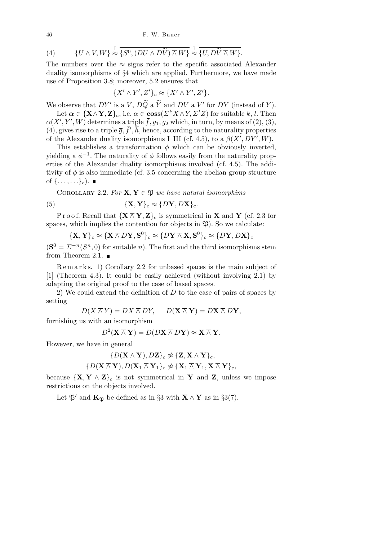46 F. W. Bauer

(4) 
$$
\{U \wedge V, W\} \stackrel{\text{I}}{\approx} \overline{\{S^0, (DU \wedge D\widetilde{V}) \wedge W\}} \stackrel{\text{I}}{\approx} \overline{\{U, D\widetilde{V} \wedge W\}}.
$$

The numbers over the  $\approx$  signs refer to the specific associated Alexander duality isomorphisms of *§*4 which are applied. Furthermore, we have made use of Proposition 3.8; moreover, 5.2 ensures that

$$
\{X'\overlinewedge Y',Z'\}_c\approx \overline{\{X'\wedge Y',Z'\}}.
$$

We observe that  $DY'$  is a *V*,  $D\widetilde{Q}$  a  $\widetilde{Y}$  and  $DV$  a  $V'$  for  $DY$  (instead of *Y*).

Let  $\alpha \in {\{\mathbf{X} \overline{\wedge} \mathbf{Y}, \mathbf{Z}\}}_c$ , i.e.  $\alpha \in \mathbf{cos}( \Sigma^k X \overline{\wedge} Y, \Sigma^l Z)$  for suitable  $k, l$ . Then  $\alpha(X', Y', W)$  determines a triple  $\bar{f}$ ,  $g_1, g_2$  which, in turn, by means of (2), (3), (4), gives rise to a triple  $\overline{g}, \overline{f}', \overline{h}$ , hence, according to the naturality properties of the Alexander duality isomorphisms I–III (cf. 4.5), to a  $\beta(X', DY', W)$ .

This establishes a transformation  $\phi$  which can be obviously inverted, yielding a  $\phi^{-1}$ . The naturality of  $\phi$  follows easily from the naturality properties of the Alexander duality isomorphisms involved (cf. 4.5). The additivity of  $\phi$  is also immediate (cf. 3.5 concerning the abelian group structure of  $\{\ldots, \ldots\}_c$ ).

COROLLARY 2.2. For  $X, Y \in \mathfrak{P}$  we have natural isomorphims

(5) 
$$
\{\mathbf{X}, \mathbf{Y}\}_c \approx \{D\mathbf{Y}, D\mathbf{X}\}_c.
$$

Proof. Recall that  ${X \overline{\wedge} Y, Z}_{c}$  is symmetrical in **X** and **Y** (cf. 2.3 for spaces, which implies the contention for objects in  $\mathfrak{P}$ ). So we calculate:

$$
{\mathbf{X}, \mathbf{Y}}_c \approx {\mathbf{X} \wedge D\mathbf{Y}, \mathbf{S}^0}_c \approx {D\mathbf{Y} \wedge \mathbf{X}, \mathbf{S}^0}_c \approx {D\mathbf{Y}, D\mathbf{X}}_c
$$

 $(\mathbf{S}^0 = \Sigma^{-n}(S^n, 0)$  for suitable *n*). The first and the third isomorphisms stem from Theorem 2.1.  $\blacksquare$ 

R e m a r k s. 1) Corollary 2.2 for unbased spaces is the main subject of [1] (Theorem 4.3). It could be easily achieved (without involving 2.1) by adapting the original proof to the case of based spaces.

2) We could extend the definition of *D* to the case of pairs of spaces by setting

$$
D(X \overline{\wedge} Y) = DX \overline{\wedge} DY, \qquad D(X \overline{\wedge} Y) = DX \overline{\wedge} DY,
$$

furnishing us with an isomorphism

$$
D^2(\mathbf{X} \overline{\wedge} \mathbf{Y}) = D(D\mathbf{X} \overline{\wedge} D\mathbf{Y}) \approx \mathbf{X} \overline{\wedge} \mathbf{Y}.
$$

However, we have in general

$$
\{D(\mathbf{X} \,\overline\wedge\, \mathbf{Y}), D\mathbf{Z}\}_c \not\approx \{\mathbf{Z}, \mathbf{X} \,\overline\wedge\, \mathbf{Y}\}_c,\\ \{D(\mathbf{X} \,\overline\wedge\, \mathbf{Y}), D(\mathbf{X}_1 \,\overline\wedge\, \mathbf{Y}_1\}_c \not\approx \{\mathbf{X}_1 \,\overline\wedge\, \mathbf{Y}_1, \mathbf{X} \,\overline\wedge\, \mathbf{Y}\}_c,
$$

because  $\{X, Y \nightharpoonup Z\}_c$  is not symmetrical in Y and Z, unless we impose restrictions on the objects involved.

Let  $\mathfrak{P}'$  and  $\overline{\mathbf{K}}_{\mathfrak{P}}$  be defined as in §3 with  $\mathbf{X} \wedge \mathbf{Y}$  as in §3(7).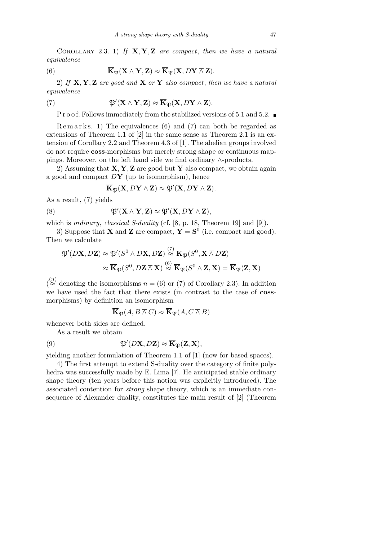Corollary 2.3. 1) *If* **X***,* **Y***,* **Z** *are compact*, *then we have a natural equivalence*

(6) 
$$
\overline{\mathbf{K}}_{\mathfrak{P}}(\mathbf{X}\wedge\mathbf{Y},\mathbf{Z})\approx\overline{\mathbf{K}}_{\mathfrak{P}}(\mathbf{X},D\mathbf{Y}\overline{\wedge}\mathbf{Z}).
$$

2) *If* **X***,* **Y***,* **Z** *are good and* **X** *or* **Y** *also compact*, *then we have a natural equivalence*

(7) 
$$
\mathfrak{P}'(\mathbf{X} \wedge \mathbf{Y}, \mathbf{Z}) \approx \overline{\mathbf{K}}_{\mathfrak{P}}(\mathbf{X}, D\mathbf{Y} \overline{\wedge} \mathbf{Z}).
$$

P r o o f. Follows immediately from the stabilized versions of 5.1 and 5.2.  $\blacksquare$ 

 $\text{Remark } s. 1)$  The equivalences (6) and (7) can both be regarded as extensions of Theorem 1.1 of [2] in the same sense as Theorem 2.1 is an extension of Corollary 2.2 and Theorem 4.3 of [1]. The abelian groups involved do not require **coss**-morphisms but merely strong shape or continuous mappings. Moreover, on the left hand side we find ordinary *∧*-products.

2) Assuming that **X***,* **Y***,* **Z** are good but **Y** also compact, we obtain again a good and compact *D***Y** (up to isomorphism), hence

$$
\overline{\mathbf{K}}_{\mathfrak{P}}(\mathbf{X},D\mathbf{Y}\overline{\wedge}\mathbf{Z})\approx \mathfrak{P}'(\mathbf{X},D\mathbf{Y}\overline{\wedge}\mathbf{Z}).
$$

As a result, (7) yields

(8) 
$$
\mathfrak{P}'(\mathbf{X} \wedge \mathbf{Y}, \mathbf{Z}) \approx \mathfrak{P}'(\mathbf{X}, D\mathbf{Y} \wedge \mathbf{Z}),
$$

which is *ordinary*, *classical S-duality* (cf. [8, p. 18, Theorem 19] and [9]).

3) Suppose that **X** and **Z** are compact,  $\mathbf{Y} = \mathbf{S}^0$  (i.e. compact and good). Then we calculate

$$
\mathfrak{P}'(D\mathbf{X}, D\mathbf{Z}) \approx \mathfrak{P}'(S^0 \wedge D\mathbf{X}, D\mathbf{Z}) \stackrel{(7)}{\approx} \overline{\mathbf{K}}_{\mathfrak{P}}(S^0, \mathbf{X} \overline{\wedge} D\mathbf{Z})
$$

$$
\approx \overline{\mathbf{K}}_{\mathfrak{P}}(S^0, D\mathbf{Z} \overline{\wedge} \mathbf{X}) \stackrel{(6)}{\approx} \overline{\mathbf{K}}_{\mathfrak{P}}(S^0 \wedge \mathbf{Z}, \mathbf{X}) = \overline{\mathbf{K}}_{\mathfrak{P}}(\mathbf{Z}, \mathbf{X})
$$

 $\binom{n}{\approx}$  denoting the isomorphisms  $n = (6)$  or (7) of Corollary 2.3). In addition we have used the fact that there exists (in contrast to the case of **coss**morphisms) by definition an isomorphism

$$
\overline{\mathbf{K}}_{\mathfrak{P}}(A, B \overline{\wedge} C) \approx \overline{\mathbf{K}}_{\mathfrak{P}}(A, C \overline{\wedge} B)
$$

whenever both sides are defined.

As a result we obtain

(9) 
$$
\mathfrak{P}'(D\mathbf{X}, D\mathbf{Z}) \approx \overline{\mathbf{K}}_{\mathfrak{P}}(\mathbf{Z}, \mathbf{X}),
$$

yielding another formulation of Theorem 1.1 of [1] (now for based spaces).

4) The first attempt to extend S-duality over the category of finite polyhedra was successfully made by E. Lima [7]. He anticipated stable ordinary shape theory (ten years before this notion was explicitly introduced). The associated contention for *strong* shape theory, which is an immediate consequence of Alexander duality, constitutes the main result of [2] (Theorem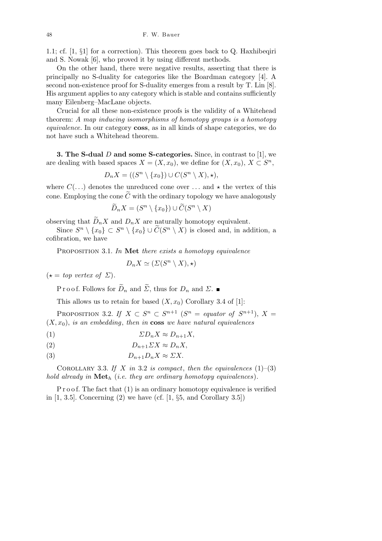1.1; cf. [1, *§*1] for a correction). This theorem goes back to Q. Haxhibeqiri and S. Nowak [6], who proved it by using different methods.

On the other hand, there were negative results, asserting that there is principally no S-duality for categories like the Boardman category [4]. A second non-existence proof for S-duality emerges from a result by T. Lin [8]. His argument applies to any category which is stable and contains sufficiently many Eilenberg–MacLane objects.

Crucial for all these non-existence proofs is the validity of a Whitehead theorem: *A map inducing isomorphisms of homotopy groups is a homotopy equivalence.* In our category **coss**, as in all kinds of shape categories, we do not have such a Whitehead theorem.

**3. The S-dual** *D* **and some S-categories.** Since, in contrast to [1], we are dealing with based spaces  $X = (X, x_0)$ , we define for  $(X, x_0)$ ,  $X \subset S^n$ ,

 $D_n X = ((S^n \setminus \{x_0\}) \cup C(S^n \setminus X), \star),$ 

where  $C(\ldots)$  denotes the unreduced cone over  $\ldots$  and  $\star$  the vertex of this cone. Employing the cone  $\tilde{C}$  with the ordinary topology we have analogously

$$
\widetilde{D}_n X = (S^n \setminus \{x_0\}) \cup \widetilde{C}(S^n \setminus X)
$$

observing that  $\widetilde{D}_n X$  and  $D_n X$  are naturally homotopy equivalent.

Since  $S^n \setminus \{x_0\} \subset S^n \setminus \{x_0\} \cup \widetilde{C}(S^n \setminus X)$  is closed and, in addition, a cofibration, we have

Proposition 3.1. *In* **Met** *there exists a homotopy equivalence*

$$
D_n X \simeq (\Sigma(S^n \setminus X), \star)
$$

 $(\star = top \ vertex \ of \ \Sigma).$ 

P r o o f. Follows for  $\widetilde{D}_n$  and  $\widetilde{\Sigma}$ , thus for  $D_n$  and  $\Sigma$ .

This allows us to retain for based  $(X, x_0)$  Corollary 3.4 of [1]:

PROPOSITION 3.2. *If*  $X \subset S^n \subset S^{n+1}$   $(S^n = equation of S^{n+1}), X =$  $(X, x_0)$ , *is an embedding*, *then in* **coss** *we have natural equivalences* 

(1)  $\Sigma D_n X \approx D_{n+1} X$ 

$$
(2) \t\t D_{n+1} \Sigma X \approx D_n X,
$$

$$
(3) \t\t D_{n+1}D_nX \approx \Sigma X.
$$

COROLLARY 3.3. If  $X$  *in* 3.2 *is compact*, *then the equivalences*  $(1)–(3)$ *hold already in* **Met***<sup>h</sup>* (*i.e. they are ordinary homotopy equivalences*)*.*

 $P$  r o o f. The fact that  $(1)$  is an ordinary homotopy equivalence is verified in [1, 3.5]. Concerning (2) we have (cf. [1, *§*5, and Corollary 3.5])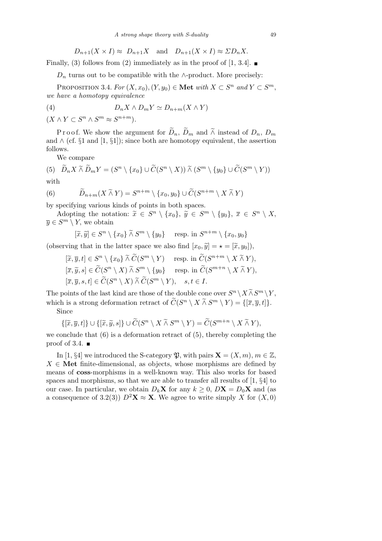$$
D_{n+1}(X \times I) \approx D_{n+1}X
$$
 and  $D_{n+1}(X \times I) \approx \Sigma D_nX$ .

Finally, (3) follows from (2) immediately as in the proof of [1, 3.4].

 $D_n$  turns out to be compatible with the *∧*-product. More precisely:

PROPOSITION 3.4. *For*  $(X, x_0)$ ,  $(Y, y_0) \in \mathbf{Met} \ with \ X \subset S^n \ and \ Y \subset S^m$ , *we have a homotopy equivalence*

$$
(4) \t\t DnX \wedge DmY \simeq Dn+m(X \wedge Y)
$$

 $(X \wedge Y \subset S^n \wedge S^m \approx S^{n+m}).$ 

Proof. We show the argument for  $\widetilde{D}_n$ ,  $\widetilde{D}_m$  and  $\widetilde{\wedge}$  instead of  $D_n$ ,  $D_m$ and *∧* (cf. *§*1 and [1, *§*1]); since both are homotopy equivalent, the assertion follows.

We compare

(5) 
$$
\widetilde{D}_n X \widetilde{\wedge} \widetilde{D}_m Y = (S^n \setminus \{x_0\} \cup \widetilde{C}(S^n \setminus X)) \widetilde{\wedge} (S^m \setminus \{y_0\} \cup \widetilde{C}(S^m \setminus Y))
$$
  
with

$$
\mathsf{W}\mathsf{I}\mathsf{U}\mathsf{I}\mathsf{I}
$$

(6) 
$$
\widetilde{D}_{n+m}(X \widetilde{\wedge} Y) = S^{n+m} \setminus \{x_0, y_0\} \cup \widetilde{C}(S^{n+m} \setminus X \widetilde{\wedge} Y)
$$

by specifying various kinds of points in both spaces.

Adopting the notation:  $\tilde{x} \in S^n \setminus \{x_0\}$ ,  $\tilde{y} \in S^m \setminus \{y_0\}$ ,  $\bar{x} \in S^n \setminus X$ ,  $\overline{y} \in S^m \setminus Y$ , we obtain

 $[\widetilde{x}, \widetilde{y}] \in S^n \setminus \{x_0\} \widetilde{\wedge} S^m \setminus \{y_0\}$  resp. in  $S^{n+m} \setminus \{x_0, y_0\}$ 

(observing that in the latter space we also find  $[x_0, \tilde{y}] = \star = [\tilde{x}, y_0],$ 

 $[\widetilde{x}, \overline{y}, t] \in S^n \setminus \{x_0\} \widetilde{\wedge} \widetilde{C}(S^m \setminus Y)$  resp. in  $\widetilde{C}(S^{n+m} \setminus X \widetilde{\wedge} Y)$ ,  $[\overline{x}, \widetilde{y}, s] \in \widetilde{C}(S^n \setminus X) \widetilde{\wedge} S^m \setminus \{y_0\}$  resp. in  $\widetilde{C}(S^{m+n} \setminus X \widetilde{\wedge} Y)$ ,  $[\overline{x}, \overline{y}, s, t] \in \widetilde{C}(S^n \setminus X) \widetilde{\wedge} \widetilde{C}(S^m \setminus Y), \quad s, t \in I.$ 

The points of the last kind are those of the double cone over  $S^n \setminus X \widetilde{\wedge} S^m \setminus Y$ , which is a strong deformation retract of  $\widetilde{C}(S^n \setminus X \widetilde{\wedge} S^m \setminus Y) = \{[\overline{x}, \overline{y}, t]\}.$ 

Since

$$
\{[\widetilde{x}, \overline{y}, t]\} \cup \{[\widetilde{x}, \widetilde{y}, s]\} \cup \widetilde{C}(S^n \setminus X \widetilde{\wedge} S^m \setminus Y) = \widetilde{C}(S^{m+n} \setminus X \widetilde{\wedge} Y),
$$

we conclude that  $(6)$  is a deformation retract of  $(5)$ , thereby completing the proof of 3.4.  $\blacksquare$ 

In [1, §4] we introduced the S-category  $\mathfrak{P}$ , with pairs  $\mathbf{X} = (X, m), m \in \mathbb{Z}$ , *X ∈* **Met** finite-dimensional, as objects, whose morphisms are defined by means of **coss**-morphisms in a well-known way. This also works for based spaces and morphisms, so that we are able to transfer all results of [1, *§*4] to our case. In particular, we obtain  $D_k \mathbf{X}$  for any  $k \geq 0$ ,  $D\mathbf{X} = D_0 \mathbf{X}$  and (as a consequence of 3.2(3))  $D^2$ **X**  $\approx$  **X**. We agree to write simply *X* for (*X, 0*)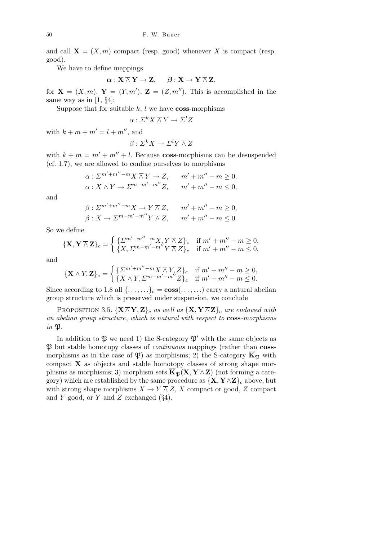and call  $X = (X, m)$  compact (resp. good) whenever X is compact (resp. good).

We have to define mappings

$$
\boldsymbol{\alpha}:\mathbf{X}\,\overline\wedge\,\mathbf{Y}\to\mathbf{Z},\hspace{5mm}\boldsymbol{\beta}:\mathbf{X}\to\mathbf{Y}\,\overline\wedge\,\mathbf{Z},
$$

for  $\mathbf{X} = (X, m), \mathbf{Y} = (Y, m'), \mathbf{Z} = (Z, m'').$  This is accomplished in the same way as in [1, *§*4]:

Suppose that for suitable  $k$ ,  $l$  we have **coss**-morphisms

$$
\alpha: \Sigma^k X \overline{\wedge} Y \to \Sigma^l Z
$$

with  $k + m + m' = l + m''$ , and

$$
\beta: \Sigma^k X \to \Sigma^l Y \overline{\wedge} Z
$$

with  $k + m = m' + m'' + l$ . Because **coss**-morphisms can be desuspended (cf. 1.7), we are allowed to confine ourselves to morphisms

$$
\alpha: \Sigma^{m'+m''-m} X \overline{\wedge} Y \to Z, \qquad m' + m'' - m \ge 0,
$$
  

$$
\alpha: X \overline{\wedge} Y \to \Sigma^{m-m'-m''} Z, \qquad m' + m'' - m \le 0,
$$

and

$$
\beta: \Sigma^{m'+m''-m} X \to Y \overline{\wedge} Z, \qquad m' + m'' - m \ge 0,
$$
  

$$
\beta: X \to \Sigma^{m-m'-m''} Y \overline{\wedge} Z, \qquad m' + m'' - m \le 0.
$$

So we define

$$
\{\mathbf{X}, \mathbf{Y} \wedge \mathbf{Z}\}_c = \begin{cases} \{\Sigma^{m'+m''-m} X, Y \wedge Z\}_c & \text{if } m'+m''-m \ge 0, \\ \{X, \Sigma^{m-m'-m''} Y \wedge Z\}_c & \text{if } m'+m''-m \le 0, \end{cases}
$$

and

$$
\{\mathbf{X} \wedge Y, \mathbf{Z}\}_c = \begin{cases} \{\Sigma^{m'+m''-m} X \wedge Y, Z\}_c & \text{if } m'+m''-m \ge 0, \\ \{X \wedge Y, \Sigma^{m-m'-m''} Z\}_c & \text{if } m'+m''-m \le 0. \end{cases}
$$

Since according to 1.8 all  $\{\ldots,\ldots\}_c = \cos(\ldots,\ldots)$  carry a natural abelian group structure which is preserved under suspension, we conclude

PROPOSITION 3.5.  $\{X \overline{\wedge} Y, Z\}$ *c as well as*  $\{X, Y \overline{\wedge} Z\}$ *c are endowed with an abelian group structure*, *which is natural with respect to* **coss***-morphisms in*  $\mathfrak{P}$ *.* 

In addition to  $\mathfrak P$  we need 1) the S-category  $\mathfrak P'$  with the same objects as P but stable homotopy classes of *continuous* mappings (rather than **coss**morphisms as in the case of  $\mathfrak{P}$ ) as morphisms; 2) the S-category  $\overline{\mathbf{K}}_{\mathfrak{P}}$  with compact **X** as objects and stable homotopy classes of strong shape morphisms as morphisms; 3) morphism sets  $\overline{\mathbf{K}}_{\mathfrak{P}}(\mathbf{X}, \mathbf{Y} \overline{\wedge} \mathbf{Z})$  (not forming a category) which are established by the same procedure as  $\{X, Y \overline{\wedge} Z\}$ <sub>c</sub> above, but with strong shape morphisms  $X \to Y \overline{\wedge} Z$ , *X* compact or good, *Z* compact and *Y* good, or *Y* and *Z* exchanged (*§*4).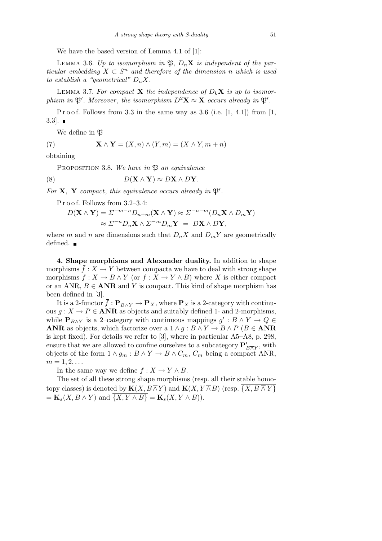We have the based version of Lemma 4.1 of [1]:

LEMMA 3.6. Up to isomorphism in  $\mathfrak{P}, D_n\mathbf{X}$  is independent of the par*ticular embedding*  $X \subset S^n$  *and therefore of the dimension n which is used to establish a "geometrical"*  $D_n X$ .

LEMMA 3.7. For compact **X** the independence of  $D_k \mathbf{X}$  is up to isomor*phism in*  $\mathfrak{P}'$ . Moreover, the isomorphism  $D^2\mathbf{X} \approx \mathbf{X}$  occurs already in  $\mathfrak{P}'$ .

P r o o f. Follows from  $3.3$  in the same way as  $3.6$  (i.e. [1, 4.1]) from [1,  $3.3$ .

We define in  $\mathfrak P$ 

(7) 
$$
\mathbf{X} \wedge \mathbf{Y} = (X, n) \wedge (Y, m) = (X \wedge Y, m + n)
$$

obtaining

PROPOSITION 3.8. We have in  $\mathfrak{P}$  an equivalence

(8) 
$$
D(\mathbf{X} \wedge \mathbf{Y}) \approx D\mathbf{X} \wedge D\mathbf{Y}.
$$

For  $X$ ,  $Y$  *compact*, *this equivalence occurs already in*  $\mathfrak{P}'$ *.* 

P r o o f. Follows from 3.2–3.4:

$$
D(\mathbf{X} \wedge \mathbf{Y}) = \Sigma^{-m-n} D_{n+m}(\mathbf{X} \wedge \mathbf{Y}) \approx \Sigma^{-n-m} (D_n \mathbf{X} \wedge D_m \mathbf{Y})
$$
  

$$
\approx \Sigma^{-n} D_n \mathbf{X} \wedge \Sigma^{-m} D_m \mathbf{Y} = D\mathbf{X} \wedge D\mathbf{Y},
$$

where *m* and *n* are dimensions such that  $D_n X$  and  $D_m Y$  are geometrically defined.  $\blacksquare$ 

**4. Shape morphisms and Alexander duality.** In addition to shape morphisms  $\bar{f}: X \to Y$  between compacta we have to deal with strong shape morphisms  $\bar{f}: X \to B \bar{w} Y$  (or  $\bar{f}: X \to Y \bar{w} B$ ) where X is either compact or an ANR,  $B \in \text{ANR}$  and *Y* is compact. This kind of shape morphism has been defined in [3].

It is a 2-functor  $f: \mathbf{P}_{B\overline{\wedge}Y} \to \mathbf{P}_X$ , where  $\mathbf{P}_X$  is a 2-category with continuous  $g: X \to P \in \text{ANR}$  as objects and suitably defined 1- and 2-morphisms, while  $\mathbf{P}_{B\overline{\wedge}Y}$  is a 2-category with continuous mappings  $g': B \wedge Y \to Q \in$ **ANR** as objects, which factorize over a  $1 \land g : B \land Y \to B \land P$  ( $B \in \textbf{ANR}$ ) is kept fixed). For details we refer to [3], where in particular A5–A8, p. 298, ensure that we are allowed to confine ourselves to a subcategory  $\mathbf{P}'_{B\square Y}$ , with objects of the form  $1 \land g_m : B \land Y \to B \land C_m$ ,  $C_m$  being a compact ANR,  $m = 1, 2, \ldots$ 

In the same way we define  $\bar{f}: X \to Y \bar{w}$ .

The set of all these strong shape morphisms (resp. all their stable homotopy classes) is denoted by  $\overline{\mathbf{K}}(X, B \overline{\wedge} Y)$  and  $\overline{\mathbf{K}}(X, Y \overline{\wedge} B)$  (resp.  $\overline{\{X, B \overline{\wedge} Y\}}$  $= \overline{\mathbf{K}}_s(X, B \overline{\wedge} Y)$  and  $\overline{\{X, Y \overline{\wedge} B\}} = \overline{\mathbf{K}}_s(X, Y \overline{\wedge} B)$ .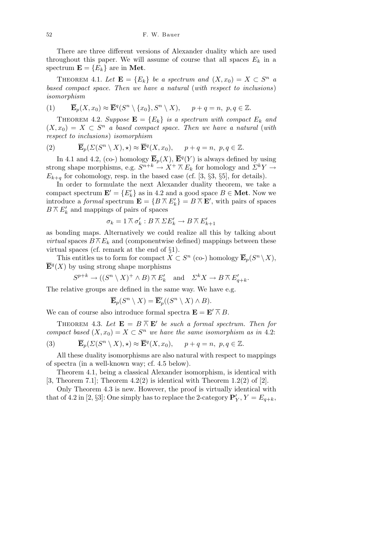There are three different versions of Alexander duality which are used throughout this paper. We will assume of course that all spaces  $E_k$  in a spectrum  $\mathbf{E} = \{E_k\}$  are in Met.

THEOREM 4.1. Let  $\mathbf{E} = \{E_k\}$  be a spectrum and  $(X, x_0) = X \subset S^n$  a *based compact space. Then we have a natural* (*with respect to inclusions*) *isomorphism*

(1) 
$$
\overline{\mathbf{E}}_p(X, x_0) \approx \overline{\mathbf{E}}^q(S^n \setminus \{x_0\}, S^n \setminus X), \quad p + q = n, p, q \in \mathbb{Z}.
$$

THEOREM 4.2. *Suppose*  $\mathbf{E} = \{E_k\}$  *is a spectrum with compact*  $E_k$  *and*  $(X, x_0) = X \subset S^n$  *a* based compact space. Then we have a natural (with *respect to inclusions*) *isomorphism*

(2) 
$$
\overline{\mathbf{E}}_p(\Sigma(S^n \setminus X), \star) \approx \overline{\mathbf{E}}^q(X, x_0), \quad p + q = n, \ p, q \in \mathbb{Z}.
$$

In 4.1 and 4.2, (co-) homology  $\overline{\mathbf{E}}_p(X)$ ,  $\overline{\mathbf{E}}_q(Y)$  is always defined by using strong shape morphisms, e.g.  $S^{n+k} \to X^+ \overline{\wedge} E_k$  for homology and  $\Sigma^k Y \to$  $E_{k+q}$  for cohomology, resp. in the based case (cf. [3, *§*3, *§*5], for details).

In order to formulate the next Alexander duality theorem, we take a compact spectrum  $\mathbf{E}' = \{E'_k\}$  as in 4.2 and a good space  $B \in \mathbf{Met}$ . Now we introduce a *formal* spectrum  $\mathbf{E} = \{B \wedge E'_k\} = B \wedge E'$ , with pairs of spaces  $B \wedge E'$ <sub>*k*</sub> and mappings of pairs of spaces

$$
\sigma_k = 1 \overline{\wedge} \sigma'_k : B \overline{\wedge} \Sigma E'_k \to B \overline{\wedge} E'_{k+1}
$$

as bonding maps. Alternatively we could realize all this by talking about *virtual* spaces  $B \overline{\wedge} E_k$  and (componentwise defined) mappings between these virtual spaces (cf. remark at the end of *§*1).

This entitles us to form for compact  $X \subset S^n$  (co-) homology  $\overline{\mathbf{E}}_p(S^n \setminus X)$ ,  $\overline{\mathbf{E}}^{q}(X)$  by using strong shape morphisms

$$
S^{p+k}
$$
  $\rightarrow ((S^n \setminus X)^+ \wedge B) \overline{\wedge} E'_k$  and  $\Sigma^k X \rightarrow B \overline{\wedge} E'_{q+k}$ .

The relative groups are defined in the same way. We have e.g.

$$
\overline{\mathbf{E}}_p(S^n \setminus X) = \overline{\mathbf{E}}_p'((S^n \setminus X) \wedge B).
$$

We can of course also introduce formal spectra  $\mathbf{E} = \mathbf{E}' \cap B$ .

THEOREM 4.3. Let  $\mathbf{E} = B \overline{\wedge} \mathbf{E}'$  be such a formal spectrum. Then for *compact based*  $(X, x_0) = X \subset S^n$  *we have the same isomorphism as in* 4.2:

(3) 
$$
\overline{\mathbf{E}}_p(\Sigma(S^n \setminus X), \star) \approx \overline{\mathbf{E}}^q(X, x_0), \quad p + q = n, \ p, q \in \mathbb{Z}.
$$

All these duality isomorphisms are also natural with respect to mappings of spectra (in a well-known way; cf. 4.5 below).

Theorem 4.1, being a classical Alexander isomorphism, is identical with [3, Theorem 7.1]; Theorem 4.2(2) is identical with Theorem 1.2(2) of [2].

Only Theorem 4.3 is new. However, the proof is virtually identical with that of 4.2 in [2, §3]: One simply has to replace the 2-category  $\mathbf{P}'_Y$ ,  $Y = E_{q+k}$ ,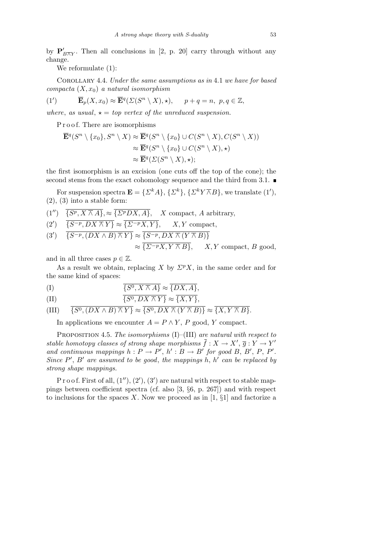by  $P'_{B\overline{\wedge} Y}$ . Then all conclusions in [2, p. 20] carry through without any change.

We reformulate (1):

Corollary 4.4. *Under the same assumptions as in* 4.1 *we have for based*  $compacta(X, x_0)$  *a natural isomorphism* 

(1') 
$$
\overline{\mathbf{E}}_p(X, x_0) \approx \overline{\mathbf{E}}^q(\Sigma(S^n \setminus X), \star), \quad p + q = n, \ p, q \in \mathbb{Z},
$$

*where, as usual,*  $\star = top$  *vertex of the unreduced suspension.* 

P r o o f. There are isomorphisms

$$
\overline{\mathbf{E}}^q(S^n \setminus \{x_0\}, S^n \setminus X) \approx \overline{\mathbf{E}}^q(S^n \setminus \{x_0\} \cup C(S^n \setminus X), C(S^n \setminus X))
$$
  

$$
\approx \overline{\mathbf{E}}^q(S^n \setminus \{x_0\} \cup C(S^n \setminus X), \star)
$$
  

$$
\approx \overline{\mathbf{E}}^q(\Sigma(S^n \setminus X), \star);
$$

the first isomorphism is an excision (one cuts off the top of the cone); the second stems from the exact cohomology sequence and the third from 3.1.  $\blacksquare$ 

For suspension spectra  $\mathbf{E} = {\{\Sigma^k A\}, {\{\Sigma^k\}, {\{\Sigma^kY \overline \wedge B\}}, \text{we translate (1')}},$  $(2)$ ,  $(3)$  into a stable form:

$$
(1'') \quad \overline{\{S^p, X \land A\}}, \approx \overline{\{ \Sigma^pDX, A\}}, \quad X \text{ compact}, A \text{ arbitrary},
$$

$$
(2') \quad \overline{S^{-p}, DX \overline{\wedge} Y} \approx \overline{\{\Sigma^{-p}X, Y\}}, \quad X, Y \text{ compact},
$$

$$
(3') \quad \overline{\{S^{-p}, (DX \wedge B) \wedge Y\}} \approx \overline{\{S^{-p}, DX \wedge (Y \wedge B)\}}
$$

$$
\approx \overline{\{ \Sigma^{-p} X, Y \wedge B\}}, \qquad X, Y \text{ compact, } B
$$

and in all three cases  $p \in \mathbb{Z}$ .

As a result we obtain, replacing *X* by  $\Sigma^p X$ , in the same order and for the same kind of spaces:

$$
(I) \qquad \qquad \overline{\{S^0, X \overline{\wedge} A\}} \approx \overline{\{DX, A\}},
$$

(II) 
$$
\overline{\{S^0, DX \land Y\}} \approx \overline{\{X,Y\}},
$$

(III) 
$$
\overline{\{S^0,(DX\wedge B)\wedge Y\}}\approx \overline{\{S^0,DX\wedge (Y\wedge B)\}}\approx \overline{\{X,Y\wedge B\}}.
$$

In applications we encounter  $A = P \wedge Y$ , *P* good, *Y* compact.

Proposition 4.5. *The isomorphisms* (I)–(III) *are natural with respect to stable homotopy classes of strong shape morphisms*  $\bar{f}: X \to X', \bar{g}: Y \to Y'$ *and continuous mappings*  $h: P \to P'$ ,  $h': B \to B'$  for good  $B, B', P, P'$ . *Since*  $P'$ ,  $B'$  are assumed to be good, the mappings  $h$ ,  $h'$  can be replaced by *strong shape mappings.*

P r o o f. First of all,  $(1'')$ ,  $(2')$ ,  $(3')$  are natural with respect to stable mappings between coefficient spectra (cf. also [3, *§*6, p. 267]) and with respect to inclusions for the spaces *X*. Now we proceed as in [1, *§*1] and factorize a

*≈ {Σ<sup>−</sup><sup>p</sup>X, Y ∧ B}, X, Y* compact, *B* good,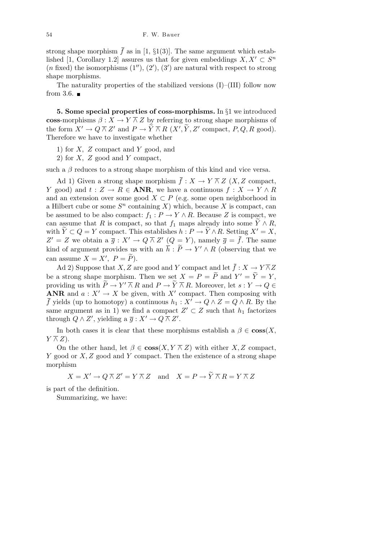strong shape morphism  $\bar{f}$  as in [1,  $\S1(3)$ ]. The same argument which established [1, Corollary 1.2] assures us that for given embeddings  $X, X' \subset S^n$  $(n \text{ fixed})$  the isomorphisms  $(1'')$ ,  $(2')$ ,  $(3')$  are natural with respect to strong shape morphisms.

The naturality properties of the stabilized versions (I)–(III) follow now from 3.6.  $\blacksquare$ 

**5. Some special properties of coss-morphisms.** In *§*1 we introduced **coss**-morphisms  $\beta: X \to Y \overline{\wedge} Z$  by referring to strong shape morphisms of the form  $X' \to Q \overline{\wedge} Z'$  and  $P \to \widetilde{Y} \overline{\wedge} R$   $(X', \widetilde{Y}, Z'$  compact,  $P, Q, R$  good). Therefore we have to investigate whether

- 1) for *X, Z* compact and *Y* good, and
- 2) for *X, Z* good and *Y* compact,

such a  $\beta$  reduces to a strong shape morphism of this kind and vice versa.

Ad 1) Given a strong shape morphism  $\bar{f}: X \to Y \wedge Z$  (*X, Z* compact, *Y* good) and  $t : Z \to R \in \mathbf{ANR}$ , we have a continuous  $f : X \to Y \wedge R$ and an extension over some good  $X \subset P$  (e.g. some open neighborhood in a Hilbert cube or some  $S<sup>n</sup>$  containing *X*) which, because *X* is compact, can be assumed to be also compact:  $f_1 : P \to Y \wedge R$ . Because *Z* is compact, we can assume that *R* is compact, so that  $f_1$  maps already into some  $\widetilde{Y} \wedge R$ , with  $\widetilde{Y} \subset Q = Y$  compact. This establishes  $h : P \to \widetilde{Y} \wedge R$ . Setting  $X' = X$ ,  $Z' = Z$  we obtain a  $\overline{g}: X' \to Q \overline{\wedge} Z'$   $(Q = Y)$ , namely  $\overline{g} = \overline{f}$ . The same kind of argument provides us with an  $\bar{h}$  :  $\tilde{P} \rightarrow Y' \wedge R$  (observing that we can assume  $X = X'$ ,  $P = \widetilde{P}$ ).

Ad 2) Suppose that *X*, *Z* are good and *Y* compact and let  $\bar{f}: X \to Y \overline{\wedge} Z$ be a strong shape morphism. Then we set  $X = P = \widetilde{P}$  and  $Y' = \widetilde{Y} = Y$ , providing us with  $\widetilde{P} \to Y' \overline{\wedge} R$  and  $P \to \widetilde{Y} \overline{\wedge} R$ . Moreover, let  $s: Y \to Q \in$ **ANR** and  $a: X' \to X$  be given, with X<sup>*i*</sup> compact. Then composing with *f* yields (up to homotopy) a continuous  $h_1 : X^1 \to Q \wedge Z = Q \wedge R$ . By the same argument as in 1) we find a compact  $Z' \subset Z$  such that  $h_1$  factorizes through  $Q \wedge Z'$ , yielding a  $\overline{g}: X' \to Q \overline{\wedge} Z'$ .

In both cases it is clear that these morphisms establish a  $\beta \in \mathbf{cos}(X,$ *Y*  $\overline{\wedge}$  *Z*).

On the other hand, let  $\beta \in \mathbf{cos}(X, Y \bar{w} Z)$  with either *X, Z* compact, *Y* good or *X, Z* good and *Y* compact. Then the existence of a strong shape morphism

 $X = X' \to Q \overline{\wedge} Z' = Y \overline{\wedge} Z$  and  $X = P \to \widetilde{Y} \overline{\wedge} R = Y \overline{\wedge} Z$ 

is part of the definition.

Summarizing, we have: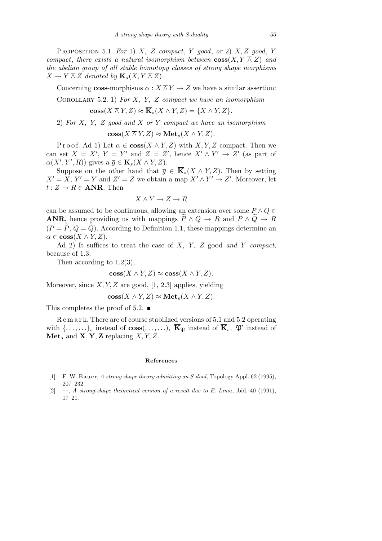Proposition 5.1. *For* 1) *X, Z compact*, *Y good*, *or* 2) *X, Z good*, *Y compact*, *there exists a natural isomorphism between*  $\cos(X, Y \bar{w})$  *and the abelian group of all stable homotopy classes of strong shape morphisms*  $X \to Y \overline{\wedge} Z$  *denoted by*  $\overline{\mathbf{K}}_s(X, Y \overline{\wedge} Z)$ *.* 

Concerning **coss**-morphisms  $\alpha : X \overline{\wedge} Y \rightarrow Z$  we have a similar assertion:

Corollary 5.2. 1) *For X, Y, Z compact we have an isomorphism*

 $\cos(X \overline{\wedge} Y, Z) \approx \overline{\mathbf{K}}_s(X \wedge Y, Z) = \overline{\{X \wedge Y, Z\}}$ .

2) *For X, Y, Z good and X or Y compact we have an isomorphism*

 $\mathbf{coss}(X \overline{\wedge} Y, Z) \approx \mathbf{Met}_s(X \wedge Y, Z).$ 

Proof. Ad 1) Let  $\alpha \in \cos(X \bar{X} \bar{X}, Z)$  with *X, Y, Z* compact. Then we can set  $X = X'$ ,  $Y = Y'$  and  $Z = Z'$ , hence  $X' \wedge Y' \rightarrow Z'$  (as part of  $\alpha(X', Y', R)$ ) gives  $a \overline{g} \in \overline{\mathbf{K}}_s(X \wedge Y, Z)$ .

Suppose on the other hand that  $\overline{g} \in \overline{\mathbf{K}}_s(X \wedge Y, Z)$ . Then by setting  $X' = X, Y' = Y$  and  $Z' = Z$  we obtain a map  $X' \wedge Y' \rightarrow Z'$ . Moreover, let  $t: Z \to R \in \mathbf{ANR}$ . Then

$$
X \wedge Y \to Z \to R
$$

can be assumed to be continuous, allowing an extension over some  $P \wedge Q \in$ **ANR**, hence providing us with mappings  $\overline{P} \wedge Q \rightarrow R$  and  $P \wedge \overline{Q} \rightarrow R$  $(P = \tilde{P}, Q = \tilde{Q})$ . According to Definition 1.1, these mappings determine an  $\alpha \in \mathbf{coss}(X \overline{\wedge} Y, Z).$ 

Ad 2) It suffices to treat the case of *X, Y, Z* good *and Y compact*, because of 1.3.

Then according to 1.2(3),

$$
\mathbf{cos}(X \overline{\wedge} Y, Z) \approx \mathbf{cos}(X \wedge Y, Z).
$$

Moreover, since *X, Y, Z* are good, [1, 2.3] applies, yielding

$$
\mathbf{cos}(X \wedge Y, Z) \approx \mathbf{Met}_s(X \wedge Y, Z).
$$

This completes the proof of 5.2.  $\blacksquare$ 

R e m a r k. There are of course stabilized versions of 5.1 and 5.2 operating with  $\{\ldots, \ldots\}$ <sup>*s*</sup> instead of **coss**( $\ldots, \ldots$ ),  $\overline{\mathbf{K}}_{\mathfrak{P}}$  instead of  $\overline{\mathbf{K}}_s$ ,  $\mathfrak{P}'$  instead of  $\mathbf{Met}_{s}$  and  $\mathbf{X}, \mathbf{Y}, \mathbf{Z}$  replacing  $X, Y, Z$ .

## **References**

- [1] F. W. Bauer, *A strong shape theory admitting an S-dual*, Topology Appl. 62 (1995), 207–232.
- [2] —, *A strong-shape theoretical version of a result due to E. Lima*, ibid. 40 (1991), 17–21.